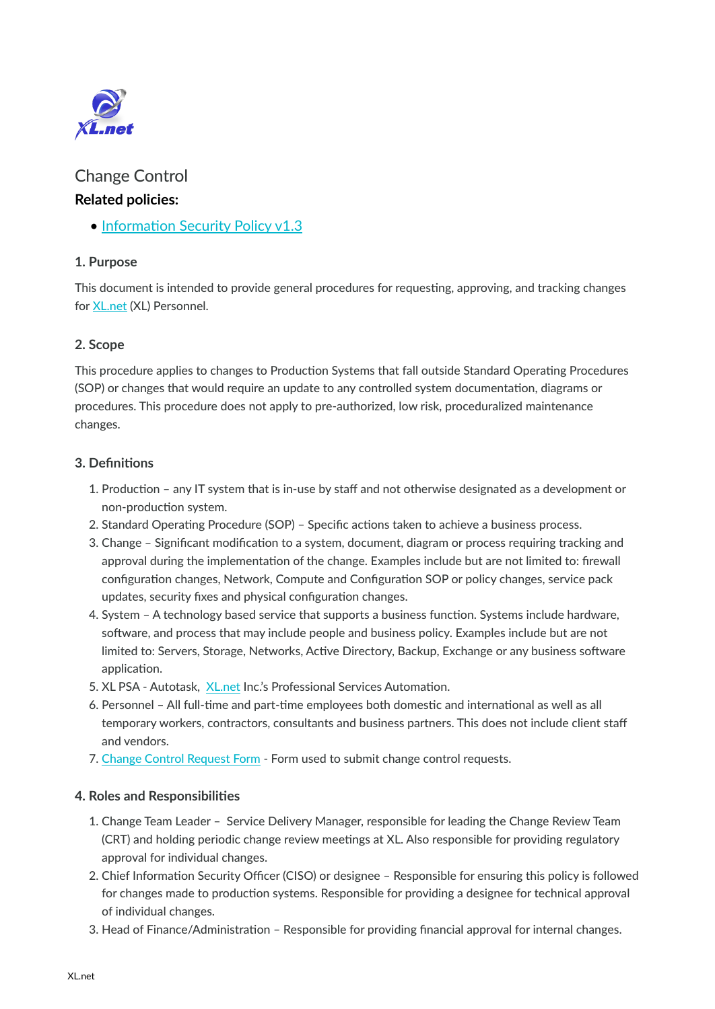

# Change Control **Related policies:**

• Informati[on Security Policy v1.3](https://www.sweetprocess.com/policy/prQGfMpQ/information-security-policy-v13/)

#### **1. Purpose**

This document is intended to provide general procedures for requesting, approving, and tracking changes for [XL.net](http://XL.net) (XL) Personnel.

### **2. Scope**

This procedure applies to changes to Production Systems that fall outside Standard Operating Procedures (SOP) or changes that would require an update to any controlled system documentation, diagrams or procedures. This procedure does not apply to pre-authorized, low risk, proceduralized maintenance changes.

#### **3. Definitions**

- 1. Production any IT system that is in-use by staff and not otherwise designated as a development or non-production system.
- 2. Standard Operating Procedure (SOP) Specific actions taken to achieve a business process.
- 3. Change Significant modification to a system, document, diagram or process requiring tracking and approval during the implementation of the change. Examples include but are not limited to: firewall configuration changes, Network, Compute and Configuration SOP or policy changes, service pack updates, security fixes and physical configuration changes.
- 4. System A technology based service that supports a business function. Systems include hardware, software, and process that may include people and business policy. Examples include but are not limited to: Servers, Storage, Networks, Active Directory, Backup, Exchange or any business software application.
- 5. XL PSA Autotask, [XL.net](http://XL.net) Inc.'s Professional Services Automation.
- 6. Personnel All full-time and part-time employees both domestic and international as well as all temporary workers, contractors, consultants and business partners. This does not include client staff and vendors.
- 7. [Change Control Request Form](https://docs.google.com/forms/d/e/1FAIpQLSdZivXKepB9GiRNIG41f_i44PxcfqUwzjFppg3KG6BbHlu73g/viewform)  Form used to submit change control requests.

#### **4. Roles and Responsibilities**

- 1. Change Team Leader Service Delivery Manager, responsible for leading the Change Review Team (CRT) and holding periodic change review meetings at XL. Also responsible for providing regulatory approval for individual changes.
- 2. Chief Information Security Officer (CISO) or designee Responsible for ensuring this policy is followed for changes made to production systems. Responsible for providing a designee for technical approval of individual changes.
- 3. Head of Finance/Administration Responsible for providing financial approval for internal changes.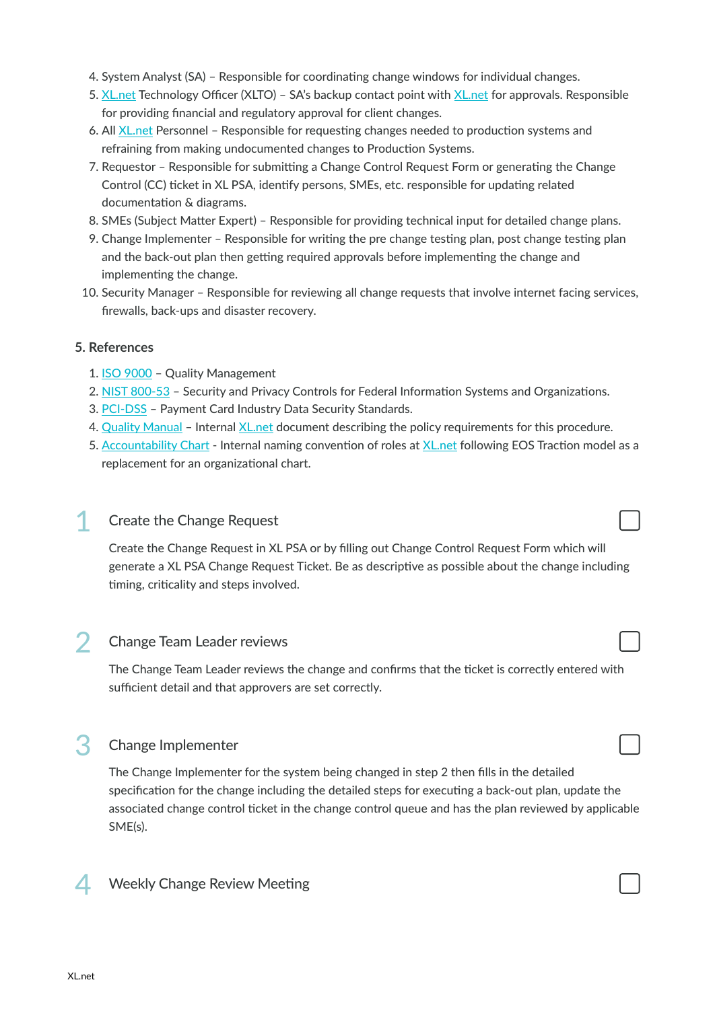- 4. System Analyst (SA) Responsible for coordinating change windows for individual changes.
- 5. [XL.net](http://XL.net) Technology Officer (XLTO) SA's backup contact point with [XL.net](http://XL.net) for approvals. Responsible for providing financial and regulatory approval for client changes.
- 6. All [XL.net](http://XL.net) Personnel Responsible for requesting changes needed to production systems and refraining from making undocumented changes to Production Systems.
- 7. Requestor Responsible for submitting a Change Control Request Form or generating the Change Control (CC) ticket in XL PSA, identify persons, SMEs, etc. responsible for updating related documentation & diagrams.
- 8. SMEs (Subject Matter Expert) Responsible for providing technical input for detailed change plans.
- 9. Change Implementer Responsible for writing the pre change testing plan, post change testing plan and the back-out plan then getting required approvals before implementing the change and implementing the change.
- 10. Security Manager Responsible for reviewing all change requests that involve internet facing services, firewalls, back-ups and disaster recovery.

#### **5. References**

- 1. [ISO 9000](http://www.iso.org/iso/iso_9000)  Quality Management
- 2. [NIST 800-53](http://csrc.nist.gov/publications/nistpubs/800-53-rev4/sp800-53r4_summary.pdf)  Security and Privacy Controls for Federal Information Systems and Organizations.
- 3. [PCI-DSS](https://www.pcisecuritystandards.org/security_standards/)  Payment Card Industry Data Security Standards.
- 4. [Quality Manual](https://wiki.xl.net:808/index.php/Process_for_Process)  Internal [XL.net](http://XL.net) document describing the policy requirements for this procedure.
- 5. [Accountability Chart](https://drive.google.com/open?id=0B7KpClX4r0zzMWM0YmU1N2EtMjRjNi00YzYwLWJjMWItMzU1OTliZTlkOGJj)  Internal naming convention of roles at [XL.net](http://XL.net) following EOS Traction model as a replacement for an organizational chart.

#### **Create the Change Request**

Create the Change Request in XL PSA or by filling out Change Control Request Form which will generate a XL PSA Change Request Ticket. Be as descriptive as possible about the change including timing, criticality and steps involved.

## 2 Change Team Leader reviews

The Change Team Leader reviews the change and confirms that the ticket is correctly entered with sufficient detail and that approvers are set correctly.

#### 3 Change Implementer

The Change Implementer for the system being changed in step 2 then fills in the detailed specification for the change including the detailed steps for executing a back-out plan, update the associated change control ticket in the change control queue and has the plan reviewed by applicable SME(s).



Weekly Change Review Meeting